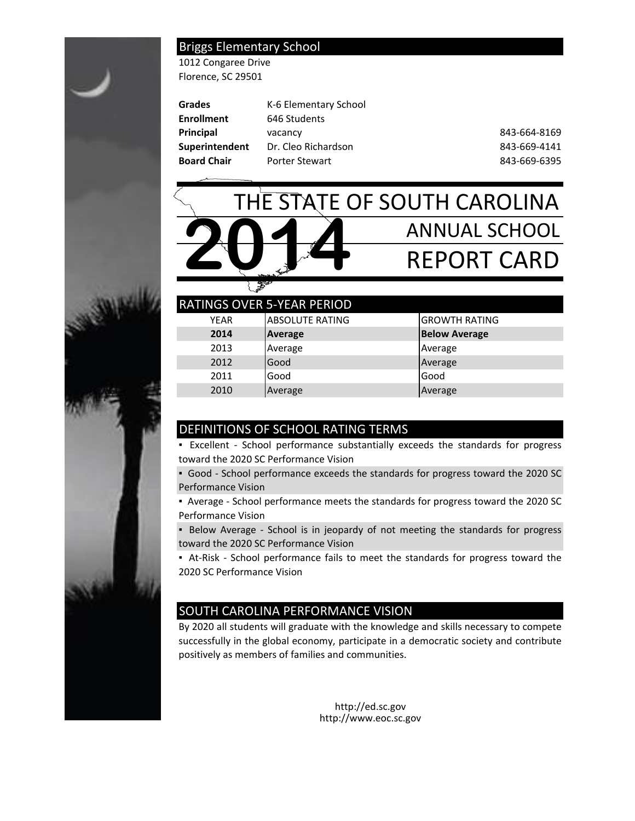### Briggs Elementary School

1012 Congaree Drive Florence, SC 29501

| Grades                | K-6 Elementary School |              |
|-----------------------|-----------------------|--------------|
| <b>Enrollment</b>     | 646 Students          |              |
| Principal             | vacancy               | 843-664-8169 |
| <b>Superintendent</b> | Dr. Cleo Richardson   | 843-669-4141 |
| <b>Board Chair</b>    | <b>Porter Stewart</b> | 843-669-6395 |
|                       |                       |              |



|             | <b>RATINGS OVER 5-YEAR PERIOD</b> |                      |
|-------------|-----------------------------------|----------------------|
| <b>YEAR</b> | <b>ABSOLUTE RATING</b>            | <b>GROWTH RATING</b> |
| 2014        | Average                           | <b>Below Average</b> |
| 2013        | Average                           | Average              |
| 2012        | Good                              | Average              |
| 2011        | Good                              | Good                 |
| 2010        | Average                           | Average              |

### DEFINITIONS OF SCHOOL RATING TERMS

- Excellent School performance substantially exceeds the standards for progress toward the 2020 SC Performance Vision
- Good School performance exceeds the standards for progress toward the 2020 SC Performance Vision
- Average School performance meets the standards for progress toward the 2020 SC Performance Vision
- Below Average School is in jeopardy of not meeting the standards for progress toward the 2020 SC Performance Vision
- At-Risk School performance fails to meet the standards for progress toward the 2020 SC Performance Vision

# SOUTH CAROLINA PERFORMANCE VISION

By 2020 all students will graduate with the knowledge and skills necessary to compete successfully in the global economy, participate in a democratic society and contribute positively as members of families and communities.

> http://ed.sc.gov http://www.eoc.sc.gov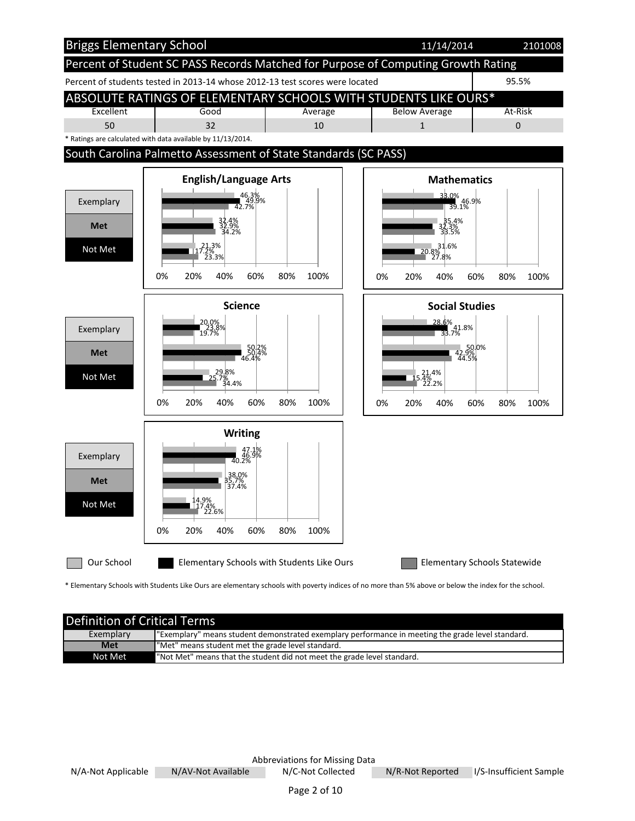

\* Elementary Schools with Students Like Ours are elementary schools with poverty indices of no more than 5% above or below the index for the school.

| <b>Definition of Critical Terms</b> |                                                                                                   |  |  |  |  |
|-------------------------------------|---------------------------------------------------------------------------------------------------|--|--|--|--|
| Exemplary                           | "Exemplary" means student demonstrated exemplary performance in meeting the grade level standard. |  |  |  |  |
| <b>Met</b>                          | "Met" means student met the grade level standard.                                                 |  |  |  |  |
| Not Met                             | "Not Met" means that the student did not meet the grade level standard.                           |  |  |  |  |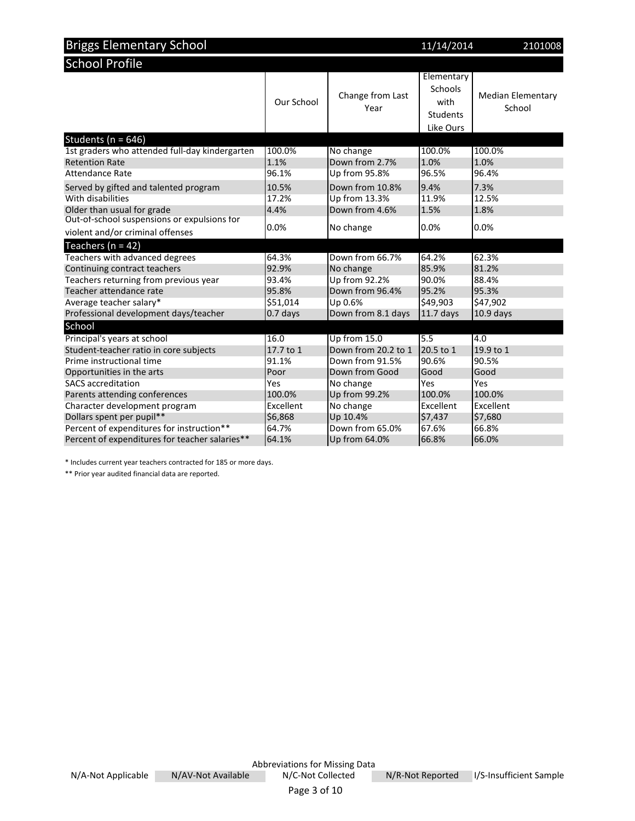| <b>Briggs Elementary School</b>                | 11/14/2014 | 2101008                  |                                                               |                                    |
|------------------------------------------------|------------|--------------------------|---------------------------------------------------------------|------------------------------------|
| <b>School Profile</b>                          |            |                          |                                                               |                                    |
|                                                | Our School | Change from Last<br>Year | Elementary<br>Schools<br>with<br><b>Students</b><br>Like Ours | <b>Median Elementary</b><br>School |
| Students ( $n = 646$ )                         |            |                          |                                                               |                                    |
| 1st graders who attended full-day kindergarten | 100.0%     | No change                | 100.0%                                                        | 100.0%                             |
| <b>Retention Rate</b>                          | 1.1%       | Down from 2.7%           | 1.0%                                                          | 1.0%                               |
| Attendance Rate                                | 96.1%      | Up from 95.8%            | 96.5%                                                         | 96.4%                              |
| Served by gifted and talented program          | 10.5%      | Down from 10.8%          | 9.4%                                                          | 7.3%                               |
| With disabilities                              | 17.2%      | Up from 13.3%            | 11.9%                                                         | 12.5%                              |
| Older than usual for grade                     | 4.4%       | Down from 4.6%           | 1.5%                                                          | 1.8%                               |
| Out-of-school suspensions or expulsions for    | 0.0%       | No change                | 0.0%                                                          | 0.0%                               |
| violent and/or criminal offenses               |            |                          |                                                               |                                    |
| Teachers ( $n = 42$ )                          |            |                          |                                                               |                                    |
| Teachers with advanced degrees                 | 64.3%      | Down from 66.7%          | 64.2%                                                         | 62.3%                              |
| Continuing contract teachers                   | 92.9%      | No change                | 85.9%                                                         | 81.2%                              |
| Teachers returning from previous year          | 93.4%      | Up from 92.2%            | 90.0%                                                         | 88.4%                              |
| Teacher attendance rate                        | 95.8%      | Down from 96.4%          | 95.2%                                                         | 95.3%                              |
| Average teacher salary*                        | \$51,014   | Up 0.6%                  | \$49,903                                                      | \$47,902                           |
| Professional development days/teacher          | $0.7$ days | Down from 8.1 days       | $11.7$ days                                                   | $10.9$ days                        |
| School                                         |            |                          |                                                               |                                    |
| Principal's years at school                    | 16.0       | Up from 15.0             | 5.5                                                           | 4.0                                |
| Student-teacher ratio in core subjects         | 17.7 to 1  | Down from 20.2 to 1      | 20.5 to 1                                                     | 19.9 to 1                          |
| Prime instructional time                       | 91.1%      | Down from 91.5%          | 90.6%                                                         | 90.5%                              |
| Opportunities in the arts                      | Poor       | Down from Good           | Good                                                          | Good                               |
| <b>SACS</b> accreditation                      | Yes        | No change                | Yes                                                           | Yes                                |
| Parents attending conferences                  | 100.0%     | Up from 99.2%            | 100.0%                                                        | 100.0%                             |
| Character development program                  | Excellent  | No change                | Excellent                                                     | Excellent                          |
| Dollars spent per pupil**                      | \$6,868    | Up 10.4%                 | \$7,437                                                       | \$7,680                            |
| Percent of expenditures for instruction**      | 64.7%      | Down from 65.0%          | 67.6%                                                         | 66.8%                              |
| Percent of expenditures for teacher salaries** | 64.1%      | Up from 64.0%            | 66.8%                                                         | 66.0%                              |

\* Includes current year teachers contracted for 185 or more days.

\*\* Prior year audited financial data are reported.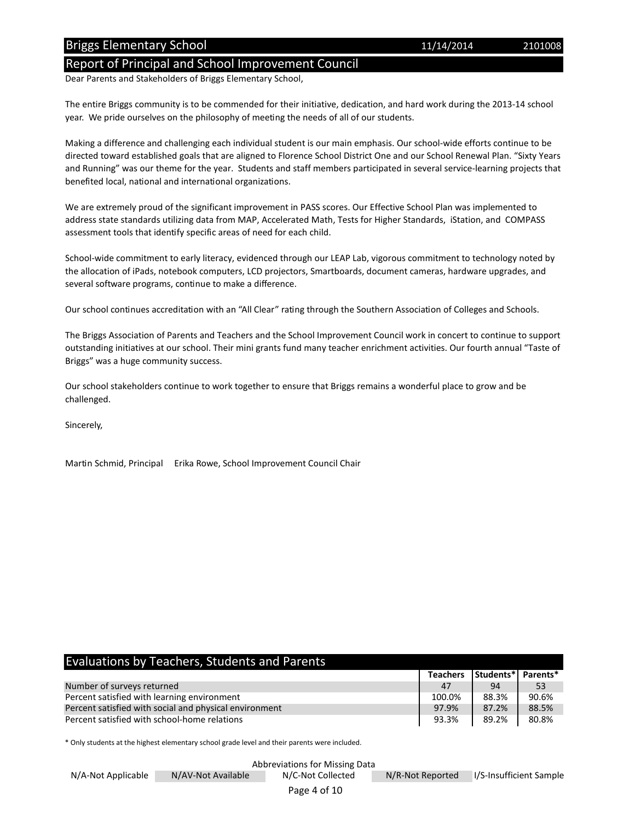#### Briggs Elementary School 2101008 2201008 2201008

#### Report of Principal and School Improvement Council

Dear Parents and Stakeholders of Briggs Elementary School,

The entire Briggs community is to be commended for their initiative, dedication, and hard work during the 2013-14 school year. We pride ourselves on the philosophy of meeting the needs of all of our students.

Making a difference and challenging each individual student is our main emphasis. Our school-wide efforts continue to be directed toward established goals that are aligned to Florence School District One and our School Renewal Plan. "Sixty Years and Running" was our theme for the year. Students and staff members participated in several service-learning projects that benefited local, national and international organizations.

We are extremely proud of the significant improvement in PASS scores. Our Effective School Plan was implemented to address state standards utilizing data from MAP, Accelerated Math, Tests for Higher Standards, iStation, and COMPASS assessment tools that identify specific areas of need for each child.

School-wide commitment to early literacy, evidenced through our LEAP Lab, vigorous commitment to technology noted by the allocation of iPads, notebook computers, LCD projectors, Smartboards, document cameras, hardware upgrades, and several software programs, continue to make a difference.

Our school continues accreditation with an "All Clear" rating through the Southern Association of Colleges and Schools.

The Briggs Association of Parents and Teachers and the School Improvement Council work in concert to continue to support outstanding initiatives at our school. Their mini grants fund many teacher enrichment activities. Our fourth annual "Taste of Briggs" was a huge community success.

Our school stakeholders continue to work together to ensure that Briggs remains a wonderful place to grow and be challenged.

Sincerely,

Martin Schmid, Principal Erika Rowe, School Improvement Council Chair

| <b>Evaluations by Teachers, Students and Parents</b>   |                 |                            |       |
|--------------------------------------------------------|-----------------|----------------------------|-------|
|                                                        | <b>Teachers</b> | <b>Students*I Parents*</b> |       |
| Number of surveys returned                             | 47              | 94                         | 53    |
| Percent satisfied with learning environment            | 100.0%          | 88.3%                      | 90.6% |
| Percent satisfied with social and physical environment | 97.9%           | 87.2%                      | 88.5% |
| Percent satisfied with school-home relations           | 93.3%           | 89.2%                      | 80.8% |

\* Only students at the highest elementary school grade level and their parents were included.

11/14/2014

Abbreviations for Missing Data

N/A-Not Applicable N/AV-Not Available N/C-Not Collected N/R-Not Reported I/S-Insufficient Sample

Page 4 of 10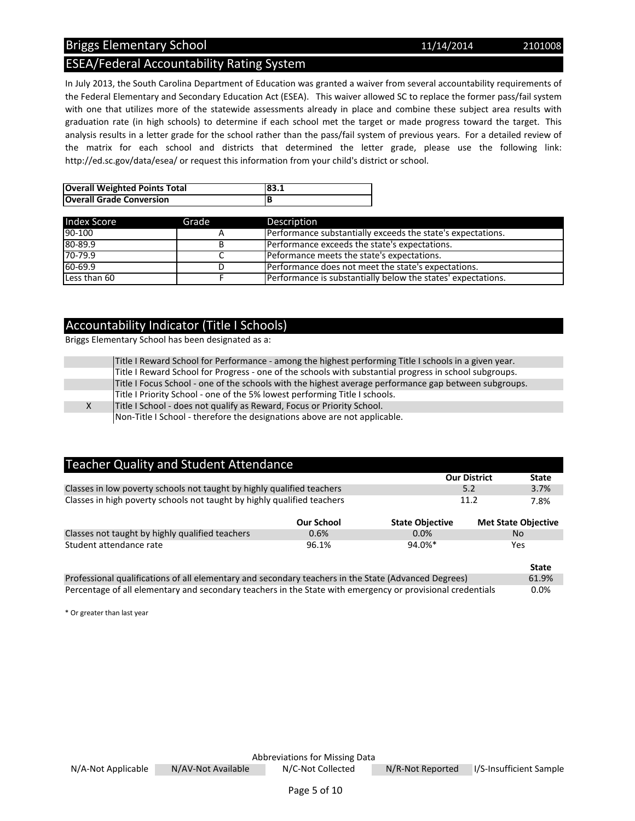### Briggs Elementary School 2101008 2201008

## ESEA/Federal Accountability Rating System

In July 2013, the South Carolina Department of Education was granted a waiver from several accountability requirements of the Federal Elementary and Secondary Education Act (ESEA). This waiver allowed SC to replace the former pass/fail system with one that utilizes more of the statewide assessments already in place and combine these subject area results with graduation rate (in high schools) to determine if each school met the target or made progress toward the target. This analysis results in a letter grade for the school rather than the pass/fail system of previous years. For a detailed review of the matrix for each school and districts that determined the letter grade, please use the following link: http://ed.sc.gov/data/esea/ or request this information from your child's district or school.

| <b>Overall Weighted Points Total</b> | 183.1 |
|--------------------------------------|-------|
| <b>Overall Grade Conversion</b>      |       |

| <b>Index Score</b> | Grade | Description                                                           |
|--------------------|-------|-----------------------------------------------------------------------|
| 90-100             |       | Performance substantially exceeds the state's expectations.           |
| 80-89.9            |       | Performance exceeds the state's expectations.                         |
| $70 - 79.9$        |       | Peformance meets the state's expectations.                            |
| $60-69.9$          |       | Performance does not meet the state's expectations.                   |
| Less than 60       |       | <b>I</b> Performance is substantially below the states' expectations. |

#### Accountability Indicator (Title I Schools)

Briggs Elementary School has been designated as a:

|    | Title I Reward School for Performance - among the highest performing Title I schools in a given year.  |
|----|--------------------------------------------------------------------------------------------------------|
|    | Title I Reward School for Progress - one of the schools with substantial progress in school subgroups. |
|    | Title I Focus School - one of the schools with the highest average performance gap between subgroups.  |
|    | Title I Priority School - one of the 5% lowest performing Title I schools.                             |
| X. | Title I School - does not qualify as Reward, Focus or Priority School.                                 |
|    | Non-Title I School - therefore the designations above are not applicable.                              |

| <b>Teacher Quality and Student Attendance</b>                                                        |                   |                        |                            |
|------------------------------------------------------------------------------------------------------|-------------------|------------------------|----------------------------|
|                                                                                                      |                   | <b>Our District</b>    | <b>State</b>               |
| Classes in low poverty schools not taught by highly qualified teachers                               |                   | 5.2                    | 3.7%                       |
| Classes in high poverty schools not taught by highly qualified teachers                              | 11.2              | 7.8%                   |                            |
|                                                                                                      | <b>Our School</b> | <b>State Objective</b> | <b>Met State Objective</b> |
| Classes not taught by highly qualified teachers                                                      | 0.6%              | 0.0%                   | <b>No</b>                  |
| Student attendance rate                                                                              | 96.1%             | 94.0%*                 | Yes                        |
|                                                                                                      |                   |                        | <b>State</b>               |
| Professional qualifications of all elementary and secondary teachers in the State (Advanced Degrees) |                   |                        | 61.9%                      |

Percentage of all elementary and secondary teachers in the State with emergency or provisional credentials 0.0%

\* Or greater than last year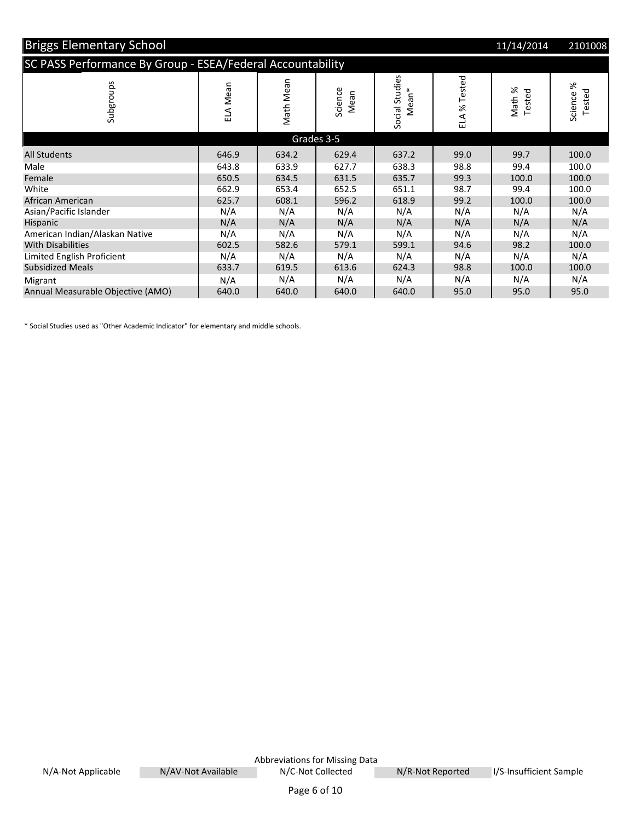| <b>Briggs Elementary School</b>                            |          |           |                 |                                     |              | 11/14/2014                        | 2101008            |
|------------------------------------------------------------|----------|-----------|-----------------|-------------------------------------|--------------|-----------------------------------|--------------------|
| SC PASS Performance By Group - ESEA/Federal Accountability |          |           |                 |                                     |              |                                   |                    |
| Subgroups                                                  | ELA Mean | Math Mean | Science<br>Mean | Social Studies<br>Mean <sup>*</sup> | ELA % Tested | ৯ৎ<br>Tested<br>Math <sup>'</sup> | Science %<br>ested |
|                                                            |          |           | Grades 3-5      |                                     |              |                                   |                    |
| <b>All Students</b>                                        | 646.9    | 634.2     | 629.4           | 637.2                               | 99.0         | 99.7                              | 100.0              |
| Male                                                       | 643.8    | 633.9     | 627.7           | 638.3                               | 98.8         | 99.4                              | 100.0              |
| Female                                                     | 650.5    | 634.5     | 631.5           | 635.7                               | 99.3         | 100.0                             | 100.0              |
| White                                                      | 662.9    | 653.4     | 652.5           | 651.1                               | 98.7         | 99.4                              | 100.0              |
| African American                                           | 625.7    | 608.1     | 596.2           | 618.9                               | 99.2         | 100.0                             | 100.0              |
| Asian/Pacific Islander                                     | N/A      | N/A       | N/A             | N/A                                 | N/A          | N/A                               | N/A                |
| Hispanic                                                   | N/A      | N/A       | N/A             | N/A                                 | N/A          | N/A                               | N/A                |
| American Indian/Alaskan Native                             | N/A      | N/A       | N/A             | N/A                                 | N/A          | N/A                               | N/A                |
| <b>With Disabilities</b>                                   | 602.5    | 582.6     | 579.1           | 599.1                               | 94.6         | 98.2                              | 100.0              |
| Limited English Proficient                                 | N/A      | N/A       | N/A             | N/A                                 | N/A          | N/A                               | N/A                |
| <b>Subsidized Meals</b>                                    | 633.7    | 619.5     | 613.6           | 624.3                               | 98.8         | 100.0                             | 100.0              |
| Migrant                                                    | N/A      | N/A       | N/A             | N/A                                 | N/A          | N/A                               | N/A                |
| Annual Measurable Objective (AMO)                          | 640.0    | 640.0     | 640.0           | 640.0                               | 95.0         | 95.0                              | 95.0               |

\* Social Studies used as "Other Academic Indicator" for elementary and middle schools.

Abbreviations for Missing Data<br>N/C-Not Collected N/A-Not Applicable N/AV-Not Available N/C-Not Collected N/R-Not Reported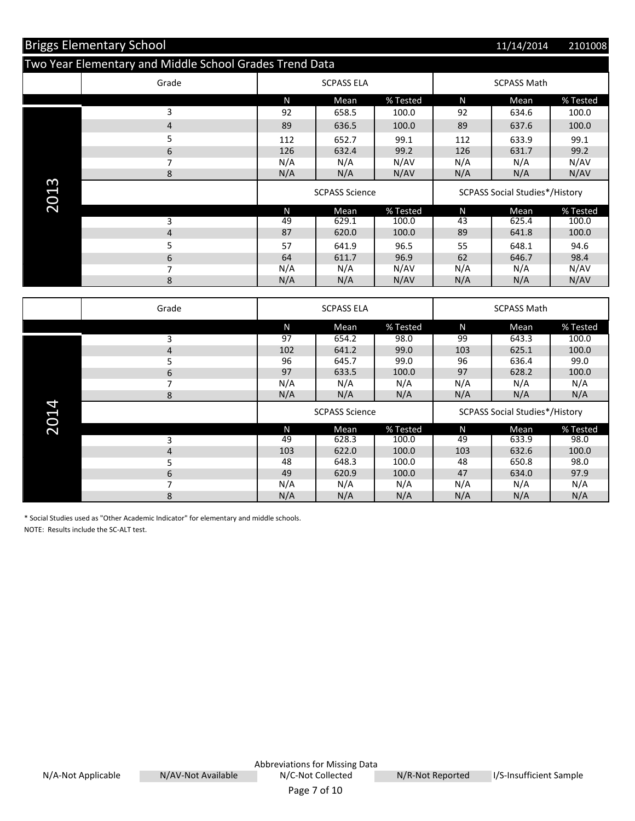|               | <b>Briggs Elementary School</b>                         |                       |                       |          |                                       | 11/14/2014                            | 2101008  |
|---------------|---------------------------------------------------------|-----------------------|-----------------------|----------|---------------------------------------|---------------------------------------|----------|
|               | Two Year Elementary and Middle School Grades Trend Data |                       |                       |          |                                       |                                       |          |
|               | Grade                                                   |                       | <b>SCPASS ELA</b>     |          |                                       | <b>SCPASS Math</b>                    |          |
|               |                                                         | N                     | Mean                  | % Tested | N                                     | Mean                                  | % Tested |
|               | 3                                                       | 92                    | 658.5                 | 100.0    | 92                                    | 634.6                                 | 100.0    |
|               | $\overline{\mathbf{r}}$                                 | 89                    | 636.5                 | 100.0    | 89                                    | 637.6                                 | 100.0    |
|               | 5                                                       | 112                   | 652.7                 | 99.1     | 112                                   | 633.9                                 | 99.1     |
|               | 6                                                       | 126                   | 632.4                 | 99.2     | 126                                   | 631.7                                 | 99.2     |
|               | 7                                                       | N/A                   | N/A                   | N/AV     | N/A                                   | N/A                                   | N/AV     |
|               | 8                                                       | N/A                   | N/A                   | N/AV     | N/A                                   | N/A                                   | N/AV     |
| 2013          |                                                         | <b>SCPASS Science</b> |                       |          | <b>SCPASS Social Studies*/History</b> |                                       |          |
|               |                                                         | N                     | Mean                  | % Tested | N                                     | Mean                                  | % Tested |
|               | 3                                                       | 49                    | 629.1                 | 100.0    | 43                                    | 625.4                                 | 100.0    |
|               | $\overline{4}$                                          | 87                    | 620.0                 | 100.0    | 89                                    | 641.8                                 | 100.0    |
|               | 5                                                       | 57                    | 641.9                 | 96.5     | 55                                    | 648.1                                 | 94.6     |
|               | 6                                                       | 64                    | 611.7                 | 96.9     | 62                                    | 646.7                                 | 98.4     |
|               | 7                                                       | N/A                   | N/A                   | N/AV     | N/A                                   | N/A                                   | N/AV     |
|               | 8                                                       | N/A                   | N/A                   | N/AV     | N/A                                   | N/A                                   | N/AV     |
|               | Grade                                                   |                       | <b>SCPASS ELA</b>     |          |                                       | <b>SCPASS Math</b>                    |          |
|               |                                                         | N                     | Mean                  | % Tested | $\mathsf{N}$                          | Mean                                  | % Tested |
|               | 3                                                       | 97                    | 654.2                 | 98.0     | 99                                    | 643.3                                 | 100.0    |
|               | $\overline{\mathbf{r}}$                                 | 102                   | 641.2                 | 99.0     | 103                                   | 625.1                                 | 100.0    |
|               | 5                                                       | 96                    | 645.7                 | 99.0     | 96                                    | 636.4                                 | 99.0     |
|               | 6                                                       | 97                    | 633.5                 | 100.0    | 97                                    | 628.2                                 | 100.0    |
|               | 7                                                       | N/A                   | N/A                   | N/A      | N/A                                   | N/A                                   | N/A      |
|               | 8                                                       | N/A                   | N/A                   | N/A      | N/A                                   | N/A                                   | N/A      |
| $\mathbf{14}$ |                                                         |                       | <b>SCPASS Science</b> |          |                                       | <b>SCPASS Social Studies*/History</b> |          |

| =<br>$\overline{\phantom{a}}$ |   | <b>SCPASS Science</b> |       |          | <b>SCPASS Social Studies*/History</b> |       |          |
|-------------------------------|---|-----------------------|-------|----------|---------------------------------------|-------|----------|
| $\sim$                        |   | Ν                     | Mean  | % Tested | Ν                                     | Mean  | % Tested |
|                               |   | 49                    | 628.3 | 100.0    | 49                                    | 633.9 | 98.0     |
|                               | 4 | 103                   | 622.0 | 100.0    | 103                                   | 632.6 | 100.0    |
|                               |   | 48                    | 648.3 | 100.0    | 48                                    | 650.8 | 98.0     |
|                               | 6 | 49                    | 620.9 | 100.0    | 47                                    | 634.0 | 97.9     |
|                               |   | N/A                   | N/A   | N/A      | N/A                                   | N/A   | N/A      |
|                               | 8 | N/A                   | N/A   | N/A      | N/A                                   | N/A   | N/A      |

\* Social Studies used as "Other Academic Indicator" for elementary and middle schools. NOTE: Results include the SC-ALT test.

N/A-Not Applicable M/AV-Not Available N/C-Not Collected N/R-Not Reported

Abbreviations for Missing Data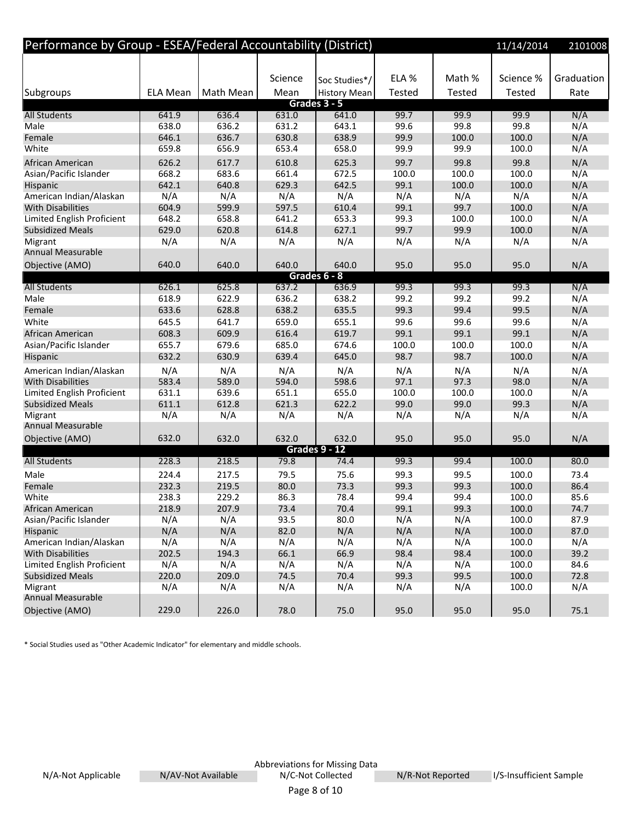| Performance by Group - ESEA/Federal Accountability (District) |                 |           |         |                     |               |        | 11/14/2014    | 2101008    |
|---------------------------------------------------------------|-----------------|-----------|---------|---------------------|---------------|--------|---------------|------------|
|                                                               |                 |           |         |                     |               |        |               |            |
|                                                               |                 |           | Science | Soc Studies*/       | ELA %         | Math % | Science %     | Graduation |
| Subgroups                                                     | <b>ELA Mean</b> | Math Mean | Mean    | <b>History Mean</b> | <b>Tested</b> | Tested | <b>Tested</b> | Rate       |
|                                                               |                 |           |         | Grades 3 - 5        |               |        |               |            |
| <b>All Students</b>                                           | 641.9           | 636.4     | 631.0   | 641.0               | 99.7          | 99.9   | 99.9          | N/A        |
| Male                                                          | 638.0           | 636.2     | 631.2   | 643.1               | 99.6          | 99.8   | 99.8          | N/A        |
| Female                                                        | 646.1           | 636.7     | 630.8   | 638.9               | 99.9          | 100.0  | 100.0         | N/A        |
| White                                                         | 659.8           | 656.9     | 653.4   | 658.0               | 99.9          | 99.9   | 100.0         | N/A        |
| African American                                              | 626.2           | 617.7     | 610.8   | 625.3               | 99.7          | 99.8   | 99.8          | N/A        |
| Asian/Pacific Islander                                        | 668.2           | 683.6     | 661.4   | 672.5               | 100.0         | 100.0  | 100.0         | N/A        |
| Hispanic                                                      | 642.1           | 640.8     | 629.3   | 642.5               | 99.1          | 100.0  | 100.0         | N/A        |
| American Indian/Alaskan                                       | N/A             | N/A       | N/A     | N/A                 | N/A           | N/A    | N/A           | N/A        |
| <b>With Disabilities</b>                                      | 604.9           | 599.9     | 597.5   | 610.4               | 99.1          | 99.7   | 100.0         | N/A        |
| Limited English Proficient                                    | 648.2           | 658.8     | 641.2   | 653.3               | 99.3          | 100.0  | 100.0         | N/A        |
| <b>Subsidized Meals</b>                                       | 629.0           | 620.8     | 614.8   | 627.1               | 99.7          | 99.9   | 100.0         | N/A        |
| Migrant                                                       | N/A             | N/A       | N/A     | N/A                 | N/A           | N/A    | N/A           | N/A        |
| <b>Annual Measurable</b>                                      |                 |           |         |                     |               |        |               |            |
| Objective (AMO)                                               | 640.0           | 640.0     | 640.0   | 640.0               | 95.0          | 95.0   | 95.0          | N/A        |
|                                                               |                 |           |         | Grades 6 - 8        |               |        |               |            |
| <b>All Students</b>                                           | 626.1           | 625.8     | 637.2   | 636.9               | 99.3          | 99.3   | 99.3          | N/A        |
| Male                                                          | 618.9           | 622.9     | 636.2   | 638.2               | 99.2          | 99.2   | 99.2          | N/A        |
| Female                                                        | 633.6           | 628.8     | 638.2   | 635.5               | 99.3          | 99.4   | 99.5          | N/A        |
| White                                                         | 645.5           | 641.7     | 659.0   | 655.1               | 99.6          | 99.6   | 99.6          | N/A        |
| African American                                              | 608.3           | 609.9     | 616.4   | 619.7               | 99.1          | 99.1   | 99.1          | N/A        |
| Asian/Pacific Islander                                        | 655.7           | 679.6     | 685.0   | 674.6               | 100.0         | 100.0  | 100.0         | N/A        |
| Hispanic                                                      | 632.2           | 630.9     | 639.4   | 645.0               | 98.7          | 98.7   | 100.0         | N/A        |
| American Indian/Alaskan                                       | N/A             | N/A       | N/A     | N/A                 | N/A           | N/A    | N/A           | N/A        |
| <b>With Disabilities</b>                                      | 583.4           | 589.0     | 594.0   | 598.6               | 97.1          | 97.3   | 98.0          | N/A        |
| Limited English Proficient                                    | 631.1           | 639.6     | 651.1   | 655.0               | 100.0         | 100.0  | 100.0         | N/A        |
| <b>Subsidized Meals</b>                                       | 611.1           | 612.8     | 621.3   | 622.2               | 99.0          | 99.0   | 99.3          | N/A        |
| Migrant                                                       | N/A             | N/A       | N/A     | N/A                 | N/A           | N/A    | N/A           | N/A        |
| <b>Annual Measurable</b>                                      |                 |           |         |                     |               |        |               |            |
| Objective (AMO)                                               | 632.0           | 632.0     | 632.0   | 632.0               | 95.0          | 95.0   | 95.0          | N/A        |
|                                                               |                 |           |         | Grades 9 - 12       |               |        |               |            |
| <b>All Students</b>                                           | 228.3           | 218.5     | 79.8    | 74.4                | 99.3          | 99.4   | 100.0         | 80.0       |
| Male                                                          | 224.4           | 217.5     | 79.5    | 75.6                | 99.3          | 99.5   | 100.0         | 73.4       |
| Female                                                        | 232.3           | 219.5     | 80.0    | 73.3                | 99.3          | 99.3   | 100.0         | 86.4       |
| White                                                         | 238.3           | 229.2     | 86.3    | 78.4                | 99.4          | 99.4   | 100.0         | 85.6       |
| African American                                              | 218.9           | 207.9     | 73.4    | 70.4                | 99.1          | 99.3   | 100.0         | 74.7       |
| Asian/Pacific Islander                                        | N/A             | N/A       | 93.5    | 80.0                | N/A           | N/A    | 100.0         | 87.9       |
| Hispanic                                                      | N/A             | N/A       | 82.0    | N/A                 | N/A           | N/A    | 100.0         | 87.0       |
| American Indian/Alaskan                                       | N/A             | N/A       | N/A     | N/A                 | N/A           | N/A    | 100.0         | N/A        |
| <b>With Disabilities</b>                                      | 202.5           | 194.3     | 66.1    | 66.9                | 98.4          | 98.4   | 100.0         | 39.2       |
| Limited English Proficient                                    | N/A             | N/A       | N/A     | N/A                 | N/A           | N/A    | 100.0         | 84.6       |
| <b>Subsidized Meals</b>                                       | 220.0           | 209.0     | 74.5    | 70.4                | 99.3          | 99.5   | 100.0         | 72.8       |
| Migrant                                                       | N/A             | N/A       | N/A     | N/A                 | N/A           | N/A    | 100.0         | N/A        |
| Annual Measurable                                             |                 |           |         |                     |               |        |               |            |
| Objective (AMO)                                               | 229.0           | 226.0     | 78.0    | 75.0                | 95.0          | 95.0   | 95.0          | 75.1       |

\* Social Studies used as "Other Academic Indicator" for elementary and middle schools.

N/A-Not Applicable N/AV-Not Available N/C-Not Collected N/R-Not Reported

Abbreviations for Missing Data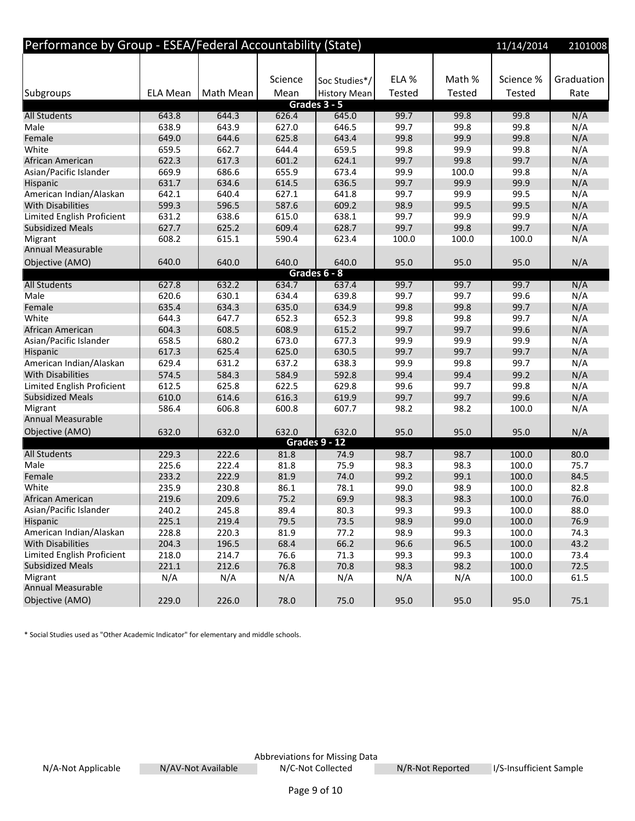| Performance by Group - ESEA/Federal Accountability (State) |                 |           |         |                       |               |               | 11/14/2014 | 2101008    |
|------------------------------------------------------------|-----------------|-----------|---------|-----------------------|---------------|---------------|------------|------------|
|                                                            |                 |           |         |                       |               |               |            |            |
|                                                            |                 |           | Science | Soc Studies*/         | ELA %         | Math %        | Science %  | Graduation |
| <b>Subgroups</b>                                           | <b>ELA Mean</b> | Math Mean | Mean    | <b>History Mean</b>   | <b>Tested</b> | <b>Tested</b> | Tested     | Rate       |
|                                                            |                 |           |         | Grades 3 - 5          |               |               |            |            |
| <b>All Students</b>                                        | 643.8           | 644.3     | 626.4   | 645.0                 | 99.7          | 99.8          | 99.8       | N/A        |
| Male                                                       | 638.9           | 643.9     | 627.0   | 646.5                 | 99.7          | 99.8          | 99.8       | N/A        |
| Female                                                     | 649.0           | 644.6     | 625.8   | 643.4                 | 99.8          | 99.9          | 99.8       | N/A        |
| White                                                      | 659.5           | 662.7     | 644.4   | 659.5                 | 99.8          | 99.9          | 99.8       | N/A        |
| African American                                           | 622.3           | 617.3     | 601.2   | 624.1                 | 99.7          | 99.8          | 99.7       | N/A        |
| Asian/Pacific Islander                                     | 669.9           | 686.6     | 655.9   | 673.4                 | 99.9          | 100.0         | 99.8       | N/A        |
| Hispanic                                                   | 631.7           | 634.6     | 614.5   | 636.5                 | 99.7          | 99.9          | 99.9       | N/A        |
| American Indian/Alaskan                                    | 642.1           | 640.4     | 627.1   | 641.8                 | 99.7          | 99.9          | 99.5       | N/A        |
| <b>With Disabilities</b>                                   | 599.3           | 596.5     | 587.6   | 609.2                 | 98.9          | 99.5          | 99.5       | N/A        |
| Limited English Proficient                                 | 631.2           | 638.6     | 615.0   | 638.1                 | 99.7          | 99.9          | 99.9       | N/A        |
| <b>Subsidized Meals</b>                                    | 627.7           | 625.2     | 609.4   | 628.7                 | 99.7          | 99.8          | 99.7       | N/A        |
| Migrant                                                    | 608.2           | 615.1     | 590.4   | 623.4                 | 100.0         | 100.0         | 100.0      | N/A        |
| Annual Measurable                                          |                 |           |         |                       |               |               |            |            |
| Objective (AMO)                                            | 640.0           | 640.0     | 640.0   | 640.0                 | 95.0          | 95.0          | 95.0       | N/A        |
| <b>All Students</b>                                        | 627.8           | 632.2     | 634.7   | Grades 6 - 8<br>637.4 | 99.7          | 99.7          | 99.7       | N/A        |
| Male                                                       | 620.6           | 630.1     | 634.4   | 639.8                 | 99.7          | 99.7          | 99.6       | N/A        |
| Female                                                     | 635.4           | 634.3     | 635.0   | 634.9                 | 99.8          | 99.8          | 99.7       | N/A        |
| White                                                      | 644.3           | 647.7     | 652.3   | 652.3                 | 99.8          | 99.8          | 99.7       | N/A        |
| African American                                           | 604.3           | 608.5     | 608.9   | 615.2                 | 99.7          | 99.7          | 99.6       | N/A        |
| Asian/Pacific Islander                                     | 658.5           | 680.2     | 673.0   | 677.3                 | 99.9          | 99.9          | 99.9       | N/A        |
| Hispanic                                                   | 617.3           | 625.4     | 625.0   | 630.5                 | 99.7          | 99.7          | 99.7       | N/A        |
| American Indian/Alaskan                                    | 629.4           | 631.2     | 637.2   | 638.3                 | 99.9          | 99.8          | 99.7       | N/A        |
| <b>With Disabilities</b>                                   | 574.5           | 584.3     | 584.9   | 592.8                 | 99.4          | 99.4          | 99.2       | N/A        |
| Limited English Proficient                                 | 612.5           | 625.8     | 622.5   | 629.8                 | 99.6          | 99.7          | 99.8       | N/A        |
| <b>Subsidized Meals</b>                                    | 610.0           | 614.6     | 616.3   | 619.9                 | 99.7          | 99.7          | 99.6       | N/A        |
| Migrant                                                    | 586.4           | 606.8     | 600.8   | 607.7                 | 98.2          | 98.2          | 100.0      | N/A        |
| Annual Measurable                                          |                 |           |         |                       |               |               |            |            |
| Objective (AMO)                                            | 632.0           | 632.0     | 632.0   | 632.0                 | 95.0          | 95.0          | 95.0       | N/A        |
|                                                            |                 |           |         | <b>Grades 9 - 12</b>  |               |               |            |            |
| <b>All Students</b>                                        | 229.3           | 222.6     | 81.8    | 74.9                  | 98.7          | 98.7          | 100.0      | 80.0       |
| Male                                                       | 225.6           | 222.4     | 81.8    | 75.9                  | 98.3          | 98.3          | 100.0      | 75.7       |
| Female                                                     | 233.2           | 222.9     | 81.9    | 74.0                  | 99.2          | 99.1          | 100.0      | 84.5       |
| White                                                      | 235.9           | 230.8     | 86.1    | 78.1                  | 99.0          | 98.9          | 100.0      | 82.8       |
| African American                                           | 219.6           | 209.6     | 75.2    | 69.9                  | 98.3          | 98.3          | 100.0      | 76.0       |
| Asian/Pacific Islander                                     | 240.2           | 245.8     | 89.4    | 80.3                  | 99.3          | 99.3          | 100.0      | 88.0       |
| Hispanic                                                   | 225.1           | 219.4     | 79.5    | 73.5                  | 98.9          | 99.0          | 100.0      | 76.9       |
| American Indian/Alaskan                                    | 228.8           | 220.3     | 81.9    | 77.2                  | 98.9          | 99.3          | 100.0      | 74.3       |
| With Disabilities                                          | 204.3           | 196.5     | 68.4    | 66.2                  | 96.6          | 96.5          | 100.0      | 43.2       |
| Limited English Proficient                                 | 218.0           | 214.7     | 76.6    | 71.3                  | 99.3          | 99.3          | 100.0      | 73.4       |
| <b>Subsidized Meals</b>                                    | 221.1           | 212.6     | 76.8    | 70.8                  | 98.3          | 98.2          | 100.0      | 72.5       |
| Migrant                                                    | N/A             | N/A       | N/A     | N/A                   | N/A           | N/A           | 100.0      | 61.5       |
| Annual Measurable                                          |                 |           |         |                       |               |               |            |            |
| Objective (AMO)                                            | 229.0           | 226.0     | 78.0    | 75.0                  | 95.0          | 95.0          | 95.0       | 75.1       |

\* Social Studies used as "Other Academic Indicator" for elementary and middle schools.

Abbreviations for Missing Data<br>N/C-Not Collected N/A-Not Applicable M/AV-Not Available N/C-Not Collected N/R-Not Reported